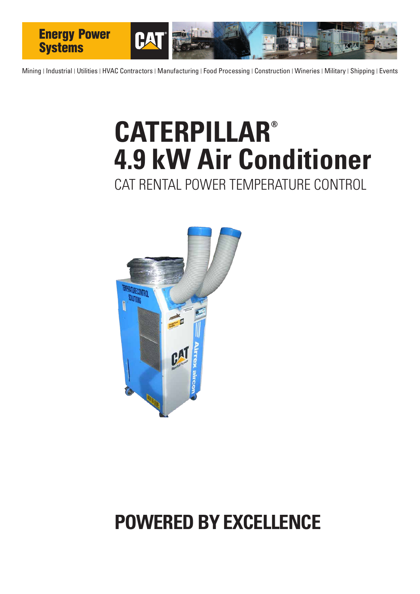

Mining | Industrial | Utilities | HVAC Contractors | Manufacturing | Food Processing | Construction | Wineries | Military | Shipping | Events

## **CATERPILLAR® 4.9 kW Air Conditioner**  CAT RENTAL POWER TEMPERATURE CONTROL



### **POWERED BY EXCELLENCE**